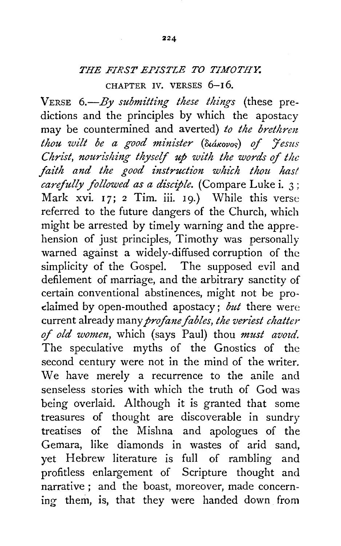## *THE FIRST EPISTLE TO TIMOTHY.*

CHAPTER IV. VERSES 6-16.

VERSE *6.-By submitting these things* (these predictions and the principles by which the apostacy may be countermined and averted) to the brethren *thou wilt be a good minister (Suakovos) of 'tesus Christ, nourishing thyself up with the words* of *the faith and the good instruction which thou has! carefully followed as a disciple.* (Compare Luke i. 3; Mark xvi. 17; 2 Tim. iii. 19.) While this verse referred to the future dangers of the Church, which might be arrested by timely warning and the apprehension of just principles, Timothy was personally warned against a widely-diffused corruption of the simplicity of the Gospel. The supposed evil and defilement of marriage, and the arbitrary sanctity of certain conventional abstinences, might not be prodaimed by open-mouthed apostacy; *but* there were current already many *profane fables, the veriest chatter*  of *old women*, which (says Paul) thou *must avoid*. The speculative myths of the Gnostics of the second century were not in the mind of the writer. We have merely a recurrence to the anile and senseless stories with which the truth of God was being overlaid. Although it is granted that some treasures of thought are discoverable in sundry treatises of the Mishna and apologues of the Gemara, like diamonds in wastes of arid sand, yet Hebrew literature is full of rambling and profitless enlargement of Scripture thought and narrative; and the boast, moreover, made concerning them, is, that they were handed down from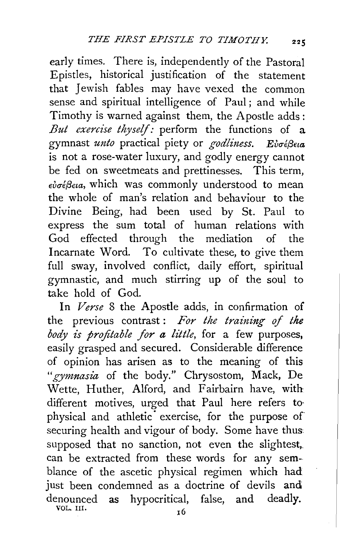early times. There is, independently of the Pastoral Epistles, historical justification of the statement that Jewish fables may have vexed the common sense and spiritual intelligence of Paul; and while Timothy is warned against them, the Apostle adds: *But exercise thyself:* perform the functions of a gymnast *unto* practical piety or *godliness.* Eυσέβεια is not a rose-water luxury, and godly energy cannot be fed on sweetmeats and prettinesses. This term, *Evu€{1Eta,* which was commonly understood to mean the whole of man's relation and behaviour to the Divine Being, had been used by St. Paul to express the sum total of human relations with God effected through the mediation of the Incarnate Word. To cultivate these, to give them full sway, involved conflict, daily effort, spiritual gymnastic, and much stirring up of the soul to take hold of God.

In *Verse* 8 the Apostle adds, in confirmation of the previous contrast : *For the training of the body is profitable for a little,* for a few purposes, easily grasped and secured. Considerable difference of opinion has arisen as to the meaning of this "gymnasia of the body." Chrysostom, Mack, De Wette, Huther, Alford, and Fairbairn have, with different motives, urged that Paul here refers tophysical and athletic exercise, for the purpose of securing health and vigour of body. Some have thus supposed that no sanction, not even the slightest, can be extracted from these words for any semblance of the ascetic physical regimen which had just been condemned as a doctrine of devils and denounced as hypocritical, false, and deadly. VOL. III.  $16$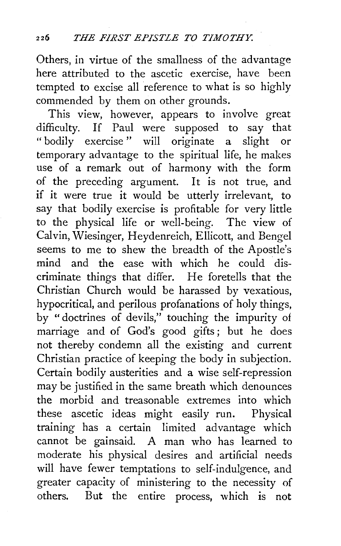Others, in virtue of the smallness of the advantage here attributed to the ascetic exercise, have been tempted to excise all reference to what is so highly commended by them on other grounds.

This view, however, appears to involve great difficulty. If Paul were supposed to say that "bodily exercise" will originate a slight or temporary advantage to the spiritual life, he makes use of a remark out of harmony with the form of the preceding argument. It is not true, and if it were true it would be utterly irrelevant, to say that bodily exercise is profitable for very little to the physical life or well-being. The view of Calvin, Wiesinger, Heydenreich, Ellicott, and Bengel seems to me to shew the breadth of the Apostle's mind and the ease with which he could discriminate things that differ. He foretells that the Christian Church would be harassed by vexatious, hypocritical, and perilous profanations of holy things, by " doctrines of devils," touching the impurity of marriage and of God's good gifts; but he does not thereby condemn all the existing and current Christian practice of keeping the body in subjection. Certain bodily austerities and a wise self-repression may be justified in the same breath which denounces the morbid and treasonable extremes into which these ascetic ideas might easily run. Physical training has a certain limited advantage which cannot be gainsaid. A man who has learned to moderate his physical desires and artificial needs will have fewer temptations to self-indulgence, and greater capacity of ministering to the necessity of others. But the entire process, which is not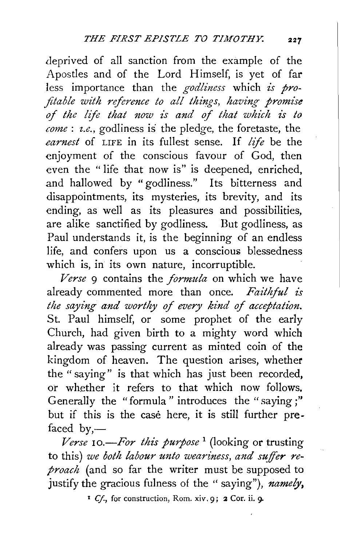deprived of all sanction from the example of the Apostles and of the Lord Himself, is yet of far less importance than the *godliness* which *is profitable with reference to all things, having promise of the life that now £s and of that which is to come* : *z.e.,* godliness is the pledge, the foretaste, the *earnest* of LIFE in its fullest sense. If *life* be the enjoyment of the conscious favour of God, then even the " life that now is" is deepened, enriched, and hallowed by "godliness." Its bitterness and disappointments, its mysteries, its brevity, and its ending, as well as its pleasures and possibilities, are alike sanctified by godliness. But godliness, as Paul understands it, is the beginning of an endless life, and confers upon us a conscious blessedness which is, in its own nature, incorruptible.

*Verse* 9 contains the *formula* on which we have already commented more than once. Faithful is *the saying and worthy of every kind of acceptation.* St. Paul himself, or some prophet of the early Church, had given birth to a mighty word which already was passing current as minted coin of the kingdom of heaven. The question arises, whether the "saying" is that which has just been recorded, or whether it refers to that which now follows. Generally the "formula" introduces the "saying;" but if this is the case here, it is still further prefaced  $by, -$ 

*Verse 10.-For this purpose* 1 (looking or trusting to this) *we both labour unto weariness, and suffer reproach* (and so far the writer must be supposed to justify the gracious fulness of the " saying"), *namely,* 

<sup>1</sup> Cf., for construction, Rom. xiv. 9; 2 Cor. ii. 9.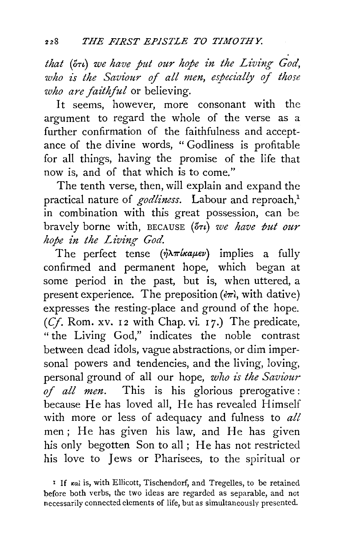$that$  (5<sup>t</sup>) we have put our hope in the Living God, *who is the Saviour of all men, especially of those who are faithful* or believing.

It seems, however, more consonant with the argument to regard the whole of the verse as a further confirmation of the faithfulness and acceptance of the divine words, " Godliness is profitable for all things, having the promise of the life that now is, and of that which is to come."

The tenth verse, then, will explain and expand the practical nature of *godliness*. Labour and reproach,<sup>1</sup> in combination with this great possession, can be bravely borne with, BECAUSE (5*Tu)* we have put our *hope in the Living God.* 

The perfect tense  $(\eta \lambda \pi k a \mu \epsilon \nu)$  implies a fully confirmed and permanent hope, which began at some period in the past, but is, when uttered, a present experience. The preposition ( $\epsilon \pi i$ , with dative) expresses the resting-place and ground of the hope. *(Cf. Rom. xv. 12 with Chap. vi. 17.)* The predicate, " the Living God," indicates the noble contrast between dead idols, vague abstractions, or dim impersonal powers and tendencies, and the living, loving, personal ground of all our hope, *who is the Saviour of all men.* This is his glorious prerogative : because He has loved all, He has revealed Himself with more or less of adequacy and fulness to *all*  men; He has given his law, and He has given his only begotten Son to all; He has not restricted his love to Jews or Pharisees, to the spiritual or

<sup>&</sup>lt;sup>1</sup> If *ral* is, with Ellicott, Tischendorf, and Tregelles, to be retained before both verbs, the two ideas are regarded as separable, and not necessarily connected elements of life, but as simultaneously presented.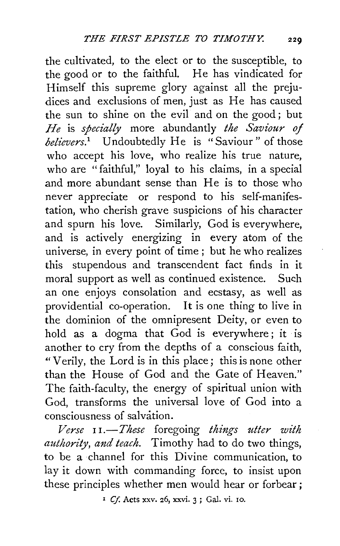the cultivated, to the elect or to the susceptible, to the good or to the faithful. He has vindicated for Himself this supreme glory against all the prejudices and exclusions of men, just as He has caused the sun to shine on the evil and on the good ; but *He* is *specially* more abundantly *the Saviour of believers.*<sup>1</sup> Undoubtedly He is "Saviour" of those who accept his love, who realize his true nature, who are "faithful," loyal to his claims, in a special and more abundant sense than He is to those who never appreciate or respond to his self-manifestation, who cherish grave suspicions of his character and spurn his love. Similarly, God is everywhere, and is actively energizing in every atom of the universe, in every point of time ; but he who realizes this stupendous and transcendent fact finds in it moral support as well as continued existence. Such an one enjoys consolation and ecstasy, as well as providential co-operation. It is one thing to live in the dominion of the omnipresent Deity, or even to hold as a dogma that God is everywhere; it is another to cry from the depths of a conscious faith, "Verily, the Lord is in this place; this is none other than the House of God and the Gate of Heaven." The faith-faculty, the energy of spiritual union with God, transforms the universal love of God into a consciousness of salvation.

*Verse* I *I.-These* foregoing *things utter with authority, and teach.* Timothy had to do two things, to be a channel for this Divine communication, to lay it down with commanding force, to insist upon these principles whether men would hear or forbear;

1 *Cf.* Acts xxv. 26, xxvi. 3 ; Gal. vi. ro.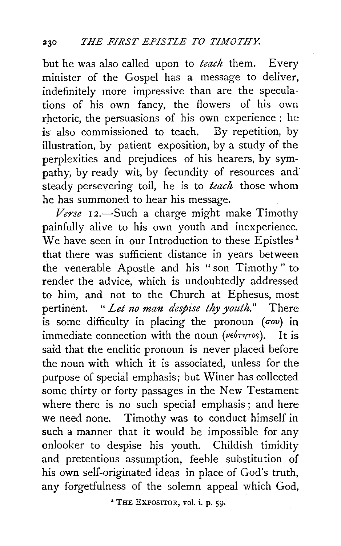but he was also called upon to *teach* them. Every minister of the Gospel has a message to deliver, indefinitely more impressive than are the speculations of his own fancy, the flowers of his own rhetoric, the persuasions of his own experience ; he is also commissioned to teach. By repetition, by illustration, by patient exposition, by a study of the perplexities and prejudices of his hearers, by sympathy, by ready wit, by fecundity of resources and steady persevering toil, he is to *teach* those whom he has summoned to hear his message.

Verse 12.-Such a charge might make Timothy painfully alive to his own youth and inexperience. We have seen in our Introduction to these Epistles<sup>1</sup> that there was sufficient distance in years between the venerable Apostle and his "son Timothy" to render the advice, which is undoubtedly addressed to him, and not to the Church at Ephesus, most pertinent. *"Let no man despise thy youth."* There is some difficulty in placing the pronoun  $($ *cov* $)$  in immediate connection with the noun ( $\nu \epsilon$ *o* $\tau \eta \tau$ os). It is said that the enclitic pronoun is never placed before the noun with which it is associated, unless for the purpose of special emphasis; but Winer has collected some thirty or forty passages in the New Testament where there is no such special emphasis; and here we need none. Timothy was to conduct himself in such a manner that it would be impossible for any onlooker to despise his youth. Childish timidity and pretentious assumption, feeble substitution of his own self-originated ideas in place of God's truth, any forgetfulness of the solemn appeal which God,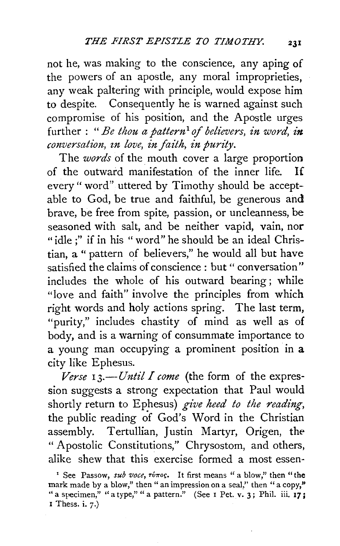not he, was making to the conscience, any aping of the powers of an apostle, any moral improprieties, any weak paltering with principle, would expose him to despite. Consequently he is warned against such compromise of his position, and the Apostle urges further : *"Be thou a pattern*1 *of believers, in word, in conversation, zn love, in faith, in purity.* 

The *words* of the mouth cover a large proportion of the outward manifestation of the inner life. If every" word" uttered by Timothy should be acceptable to God, be true and faithful, be generous and brave, be free from spite, passion, or uncleanness, be seasoned with salt, and be neither vapid, vain, nor "idle ;" if in his " word" he should be an ideal Christian, a " pattern of believers," he would all but have satisfied the claims of conscience : but " conversation" includes the whole of his outward bearing ; while "love and faith" involve the principles from which right words and holy actions spring. The last term, "purity," includes chastity of mind as well as of body, and is a warning of consummate importance to a young man occupying a prominent position in **a**  city like Ephesus.

*Verse 13.--Until I come* (the form of the expression suggests a strong expectation that Paul would shortly return to Ephesus) *give heed to the reading,*  the public reading of God's Word in the Christian assembly. Tertullian, Justin Martyr, Origen, the " Apostolic Constitutions," Chrysostom, and others, alike shew that this exercise formed a most essen-

<sup>&#</sup>x27; See Passow, *sub voce*,  $\tau \acute{\nu} \tau$ os. It first means " a blow," then "the mark made by a blow," then " an impression on a seal," then " a copy," <br>" a specimen," " a type," " a pattern." (See 1 Pet. v. 3; Phil. iii. 1**7;** I Thess. i.  $7$ .)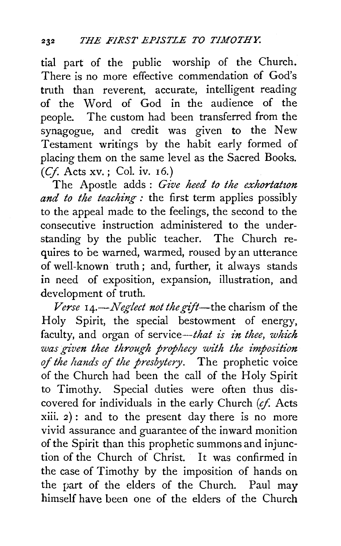tial part of the public worship of the Church. There is no more effective commendation of God's truth than reverent, accurate, intelligent reading of the Word of God in the audience of the people. The custom had been transferred from the synagogue, and credit was given to the New Testament writings by the habit early formed of placing them on the same level as the Sacred Books. *(Cf.* Acts xv.; Col. iv. 16.)

The Apostle adds: Give heed to the exhortation *and to the teaching:* the first term applies possibly to the appeal made to the feelings, the second to the consecutive instruction administered to the understanding by the public teacher. The Church requires to be warned, warmed, roused by an utterance of well-known truth; and, further, it always stands in need of exposition, expansion, illustration, and development of truth.

*Verse 14.-Neglect not the gift-the* charism of the Holy Spirit, the special bestowment of energy, faculty, and organ of service—that is in thee, which *was given thee through prophecy with the imposition of the hands of the presbytery.* The prophetic voice of the Church had been the call of the Holy Spirit to Timothy. Special duties were often thus discovered for individuals in the early Church (cf. Acts xiii. 2): and to the present day there is no more vivid assurance and guarantee of the inward monition of the Spirit than this prophetic summons and injunction of the Church of Christ. It was confirmed in the case of Timothy by the imposition of hands on the part of the elders of the Church. Paul may himself have been one of the elders of the Church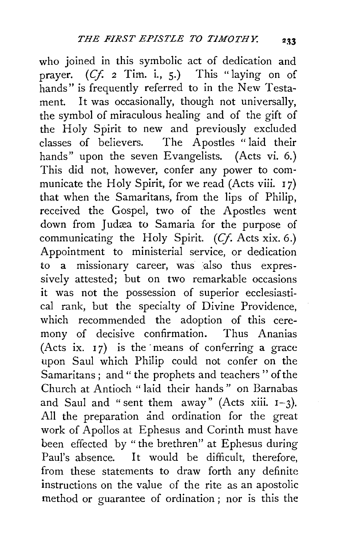who joined in this symbolic act of dedication and prayer. (Cf. *2* Tim. i., 5.) This "laying on of hands" is frequently referred to in the New Testament. It was occasionally, though not universally, the symbol of miraculous healing and of the gift of the Holy Spirit to new and previously excluded classes of believers. The Apostles " laid their hands" upon the seven Evangelists. (Acts vi. 6.) This did not, however, confer any power to communicate the Holy Spirit, for we read (Acts viii. 17) that when the Samaritans, from the lips of Philip, received the Gospel, two of the Apostles went down from Judæa to Samaria for the purpose of communicating the Holy Spirit. *(Cf.* Acts xix. 6.) Appointment to ministerial service, or dedication to a missionary career, was also thus expressively attested; but on two remarkable occasions it was not the possession of superior ecclesiastical rank, but the specialty of Divine Providence, which recommended the adoption of this ceremony of decisive confirmation. Thus Ananias (Acts ix.  $17$ ) is the means of conferring a grace upon Saul which Philip could not confer on the Samaritans; and "the prophets and teachers" of the Church at Antioch " laid their hands " on Barnabas and Saul and "sent them away" (Acts xiii.  $I-3$ ). All the preparation and ordination for the great work of Apollos at Ephesus and Corinth must have been effected by "the brethren" at Ephesus during Paul's absence. It would be difficult, therefore, from these statements to draw forth any definite instructions on the value of the rite as an apostolic method or guarantee of ordination ; nor is this the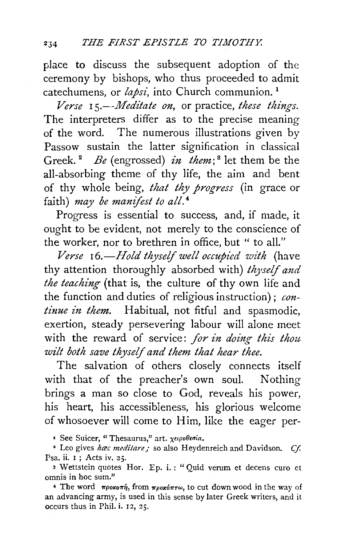place to discuss the subsequent adoption of the ceremony by bishops, who thus proceeded to admit catechumens, or *lapsi*, into Church communion.<sup>1</sup>

*Verse* I *s.-Meditate on,* or practice, *these things.*  The interpreters differ as to the precise meaning of the word. The numerous illustrations given by Passow sustain the latter signification in classical Greek. <sup>2</sup>*Be* (engrossed) *in them;* 8 let them be the all-absorbing theme of thy life, the aim and bent of thy whole being, *that thy progress* (in grace or faith) *may be manifest to all.* <sup>4</sup>

Progress is essential to success, and, if made, it ought to be evident, not merely to the conscience of the worker, nor to brethren in office, but " to all."

Verse 16.-*Hold thyself well occupied with* (have thy attention thoroughly absorbed with) *thyself and the teaching* (that is, the culture of thy own life and the function and duties of religious instruction); *continue in them.* Habitual, not fitful and spasmodic, exertion, steady persevering labour will alone meet with the reward of service: for in doing this thou *wilt both save thyself and them that hear thee.* 

The salvation of others closely connects itself with that of the preacher's own soul. Nothing brings a man so close to God, reveals his power, his heart, his accessibleness, his glorious welcome of whosoever will come to Him, like the eager per-

<sup>1</sup> See Suicer, "Thesaurus," art. χειροθεσία.

<sup>2</sup> Leo gives *hac meditare* ; so also Heydenreich and Davidson. *Cf.* Psa. ii. 1 ; Acts iv. 2 *5·* 

3 Wettstein quotes Hor. Ep. i.: "Quid verum et decens curo et omnis in hoc sum."

<sup>4</sup> The word  $\pi \rho o \kappa o \pi \dot{\eta}$ , from  $\pi \rho o \kappa o \pi \tau \omega$ , to cut down wood in the way of an advancing army, is used in this sense by later Greek writers, and it occurs thus in Phil. i. 12, 25.